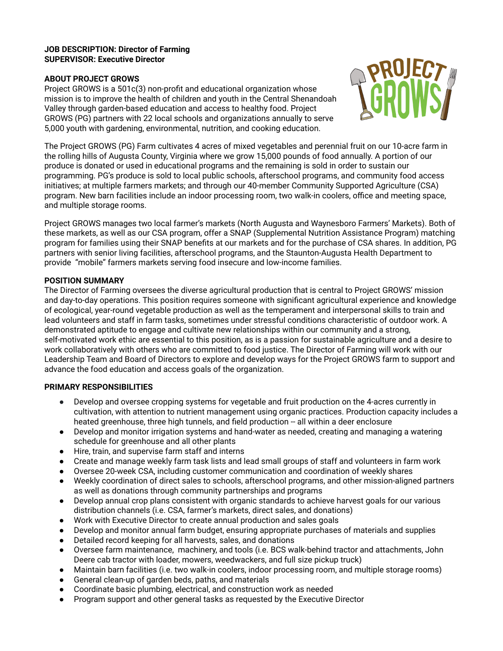#### **JOB DESCRIPTION: Director of Farming SUPERVISOR: Executive Director**

# **ABOUT PROJECT GROWS**

Project GROWS is a 501c(3) non-profit and educational organization whose mission is to improve the health of children and youth in the Central Shenandoah Valley through garden-based education and access to healthy food. Project GROWS (PG) partners with 22 local schools and organizations annually to serve 5,000 youth with gardening, environmental, nutrition, and cooking education.



The Project GROWS (PG) Farm cultivates 4 acres of mixed vegetables and perennial fruit on our 10-acre farm in the rolling hills of Augusta County, Virginia where we grow 15,000 pounds of food annually. A portion of our produce is donated or used in educational programs and the remaining is sold in order to sustain our programming. PG's produce is sold to local public schools, afterschool programs, and community food access initiatives; at multiple farmers markets; and through our 40-member Community Supported Agriculture (CSA) program. New barn facilities include an indoor processing room, two walk-in coolers, office and meeting space, and multiple storage rooms.

Project GROWS manages two local farmer's markets (North Augusta and Waynesboro Farmers' Markets). Both of these markets, as well as our CSA program, offer a SNAP (Supplemental Nutrition Assistance Program) matching program for families using their SNAP benefits at our markets and for the purchase of CSA shares. In addition, PG partners with senior living facilities, afterschool programs, and the Staunton-Augusta Health Department to provide "mobile" farmers markets serving food insecure and low-income families.

# **POSITION SUMMARY**

The Director of Farming oversees the diverse agricultural production that is central to Project GROWS' mission and day-to-day operations. This position requires someone with significant agricultural experience and knowledge of ecological, ]ear-round vegetable production as well as the temperament and interpersonal skills to train and lead volunteers and staff in farm tasks, sometimes under stressful conditions characteristic of outdoor work. A demonstrated aptitude to engage and cultivate new relationships within our community and a strong, self-motivated work ethic are essential to this position, as is a passion for sustainable agriculture and a desire to work collaboratively with others who are committed to food justice. The Director of Farming will work with our Leadership Team and Board of Directors to explore and develop ways for the Project GROWS farm to support and advance the food education and access goals of the organization.

# **PRIMARY RESPONSIBILITIES**

- Develop and oversee cropping systems for vegetable and fruit production on the 4-acres currently in cultivation, with attention to nutrient management using organic practices. Production capacity includes a heated greenhouse, three high tunnels, and field production -- all within a deer enclosure
- Develop and monitor irrigation systems and hand-water as needed, creating and managing a watering schedule for greenhouse and all other plants
- Ɣ Hire, train, and supervise farm staff and interns
- Create and manage weekly farm task lists and lead small groups of staff and volunteers in farm work
- Oversee 20-week CSA, including customer communication and coordination of weekly shares
- Weekly coordination of direct sales to schools, afterschool programs, and other mission-aligned partners as well as donations through community partnerships and programs
- Develop annual crop plans consistent with organic standards to achieve harvest goals for our various distribution channels (i.e. CSA, farmer's markets, direct sales, and donations)
- Ɣ Work with Executive Director to create annual production and sales goals
- Develop and monitor annual farm budget, ensuring appropriate purchases of materials and supplies
- Ɣ Detailed record keeping for all harvests, sales, and donations
- Oversee farm maintenance, machinery, and tools (i.e. BCS walk-behind tractor and attachments, John Deere cab tractor with loader, mowers, weedwackers, and full size pickup truck)
- Ɣ Maintain barn facilities (i.e. two walk-in coolers, indoor processing room, and multiple storage rooms)
- Ɣ General clean-up of garden beds, paths, and materials
- Ɣ Coordinate basic plumbing, electrical, and construction work as needed
- Program support and other general tasks as requested by the Executive Director